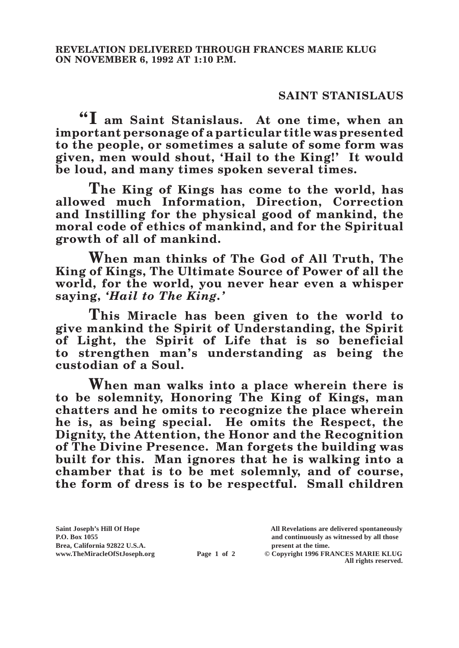## **SAINT STANISLAUS**

**"I am Saint Stanislaus. At one time, when an important personage of a particular title was presented to the people, or sometimes a salute of some form was given, men would shout, 'Hail to the King!' It would be loud, and many times spoken several times.**

**The King of Kings has come to the world, has allowed much Information, Direction, Correction and Instilling for the physical good of mankind, the moral code of ethics of mankind, and for the Spiritual growth of all of mankind.**

**When man thinks of The God of All Truth, The King of Kings, The Ultimate Source of Power of all the world, for the world, you never hear even a whisper saying,** *'Hail to The King.'*

**This Miracle has been given to the world to give mankind the Spirit of Understanding, the Spirit of Light, the Spirit of Life that is so beneficial to strengthen man's understanding as being the custodian of a Soul.**

**When man walks into a place wherein there is to be solemnity, Honoring The King of Kings, man chatters and he omits to recognize the place wherein he is, as being special. He omits the Respect, the Dignity, the Attention, the Honor and the Recognition of The Divine Presence. Man forgets the building was built for this. Man ignores that he is walking into a chamber that is to be met solemnly, and of course, the form of dress is to be respectful. Small children** 

**Brea, California 92822 U.S.A. present at the time.**<br> **present at the time.**<br> **present at the time.**<br> **Page 1 of 2** © Copyright 1996 FR.

**Saint Joseph's Hill Of Hope All Revelations are delivered spontaneously P.O. Box 1055 and continuously as witnessed by all those** 

**Page 1 of 2** © Copyright 1996 FRANCES MARIE KLUG **All rights reserved.**